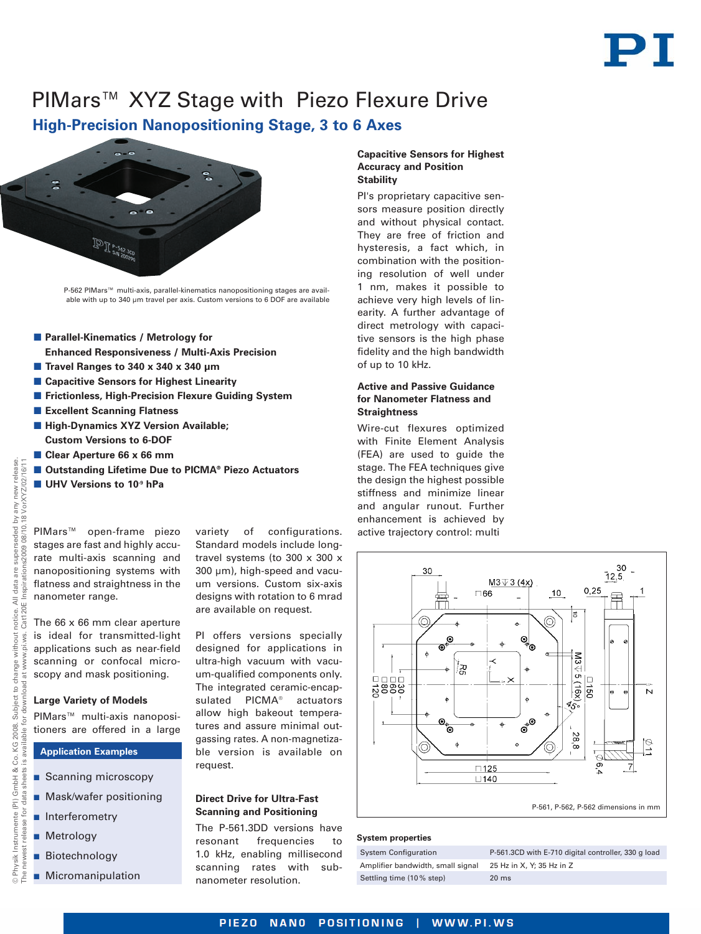# PIMars™ XYZ Stage with Piezo Flexure Drive

# **High-Precision Nanopositioning Stage, 3 to 6 Axes**



P-562 PIMars™ multi-axis, parallel-kinematics nanopositioning stages are available with up to 340 um travel per axis. Custom versions to 6 DOF are available

- **Parallel-Kinematics / Metrology for Enhanced Responsiveness / Multi-Axis Precision**
- **Travel Ranges to 340 x 340 x 340 µm**
- Capacitive Sensors for Highest Linearity
- **Frictionless, High-Precision Flexure Guiding System**
- **Excellent Scanning Flatness**
- **High-Dynamics XYZ Version Available; Custom Versions to 6-DOF**
- **Clear Aperture 66 x 66 mm**
- Outstanding Lifetime Due to PICMA<sup>®</sup> Piezo Actuators
- **UHV Versions to 10-9 hPa**

PIMars™ open-frame piezo stages are fast and highly accurate multi-axis scanning and nanopositioning systems with flatness and straightness in the nanometer range.

The 66 x 66 mm clear aperture is ideal for transmitted-light applications such as near-field scanning or confocal microscopy and mask positioning.

# **Large Variety of Models**

PIMars™ multi-axis nanopositioners are offered in a large

# **Application Examples**

- Scanning microscopy
- **Mask/wafer positioning**
- **n** Interferometry
- **Metrology**
- **Biotechnology**
- **Micromanipulation**

variety of configurations. Standard models include longtravel systems (to 300 x 300 x 300 µm), high-speed and vacuum versions. Custom six-axis designs with rotation to 6 mrad are available on request.

PI offers versions specially designed for applications in ultra-high vacuum with vacuum-qualified components only. The integrated ceramic-encapsulated PICMA® actuators allow high bakeout temperatures and assure minimal outgassing rates. A non-magnetizable version is available on request.

### **Direct Drive for Ultra-Fast Scanning and Positioning**

The P-561.3DD versions have resonant frequencies to 1.0 kHz, enabling millisecond scanning rates with subnanometer resolution.

#### **Capacitive Sensors for Highest Accuracy and Position Stability**

PI's proprietary capacitive sensors measure position directly and without physical contact. They are free of friction and hysteresis, a fact which, in combination with the positioning resolution of well under 1 nm, makes it possible to achieve very high levels of linearity. A further advantage of direct metrology with capacitive sensors is the high phase fidelity and the high bandwidth of up to 10 kHz.

#### **Active and Passive Guidance for Nanometer Flatness and Straightness**

Wire-cut flexures optimized with Finite Element Analysis (FEA) are used to guide the stage. The FEA techniques give the design the highest possible stiffness and minimize linear and angular runout. Further enhancement is achieved by active trajectory control: multi



#### **System properties**

| <b>System Configuration</b>     |  |
|---------------------------------|--|
| Amplifier bandwidth, small sigr |  |
| Settling time (10% step)        |  |

P-561.3CD with E-710 digital controller, 330 g load hal  $25$  Hz in X, Y; 35 Hz in Z  $20$  ms

release.

PIEZO NANO POSITIONING | WWW.PI.WS